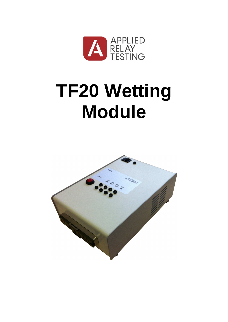

# **TF20 Wetting Module**

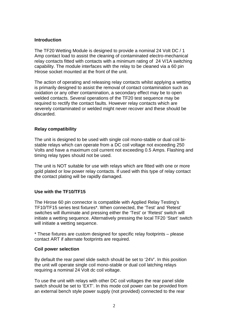### **Introduction**

The TF20 Wetting Module is designed to provide a nominal 24 Volt DC / 1 Amp contact load to assist the cleaning of contaminated electro-mechanical relay contacts fitted with contacts with a minimum rating of 24 V/1A switching capability. The module interfaces with the relay to be cleaned via a 60 pin Hirose socket mounted at the front of the unit.

The action of operating and releasing relay contacts whilst applying a wetting is primarily designed to assist the removal of contact contamination such as oxidation or any other contamination, a secondary effect may be to open welded contacts. Several operations of the TF20 test sequence may be required to rectify the contact faults. However relay contacts which are severely contaminated or welded might never recover and these should be discarded.

### **Relay compatibility**

The unit is designed to be used with single coil mono-stable or dual coil bistable relays which can operate from a DC coil voltage not exceeding 250 Volts and have a maximum coil current not exceeding 0.5 Amps. Flashing and timing relay types should not be used.

The unit is NOT suitable for use with relays which are fitted with one or more gold plated or low power relay contacts. If used with this type of relay contact the contact plating will be rapidly damaged.

### **Use with the TF10/TF15**

The Hirose 60 pin connector is compatible with Applied Relay Testing's TF10/TF15 series test fixtures\*. When connected, the 'Test' and 'Retest' switches will illuminate and pressing either the 'Test' or 'Retest' switch will initiate a wetting sequence. Alternatively pressing the local TF20 'Start' switch will initiate a wetting sequence.

\* These fixtures are custom designed for specific relay footprints – please contact ART if alternate footprints are required.

### **Coil power selection**

By default the rear panel slide switch should be set to '24V'. In this position the unit will operate single coil mono-stable or dual coil latching relays requiring a nominal 24 Volt dc coil voltage.

To use the unit with relays with other DC coil voltages the rear panel slide switch should be set to 'EXT'. In this mode coil power can be provided from an external bench style power supply (not provided) connected to the rear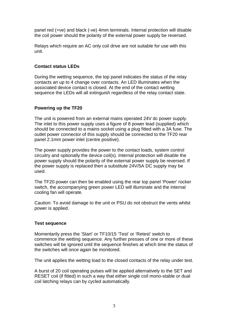panel red (+ve) and black (-ve) 4mm terminals. Internal protection will disable the coil power should the polarity of the external power supply be reversed.

Relays which require an AC only coil drive are not suitable for use with this unit.

## **Contact status LEDs**

During the wetting sequence, the top panel indicates the status of the relay contacts an up to 4 change over contacts. An LED illuminates when the associated device contact is closed. At the end of the contact wetting sequence the LEDs will all extinguish regardless of the relay contact state.

## **Powering up the TF20**

The unit is powered from an external mains operated 24V dc power supply. The inlet to this power supply uses a figure of 8 power lead (supplied) which should be connected to a mains socket using a plug fitted with a 3A fuse. The outlet power connector of this supply should be connected to the TF20 rear panel 2.1mm power inlet (centre positive).

The power supply provides the power to the contact loads, system control circuitry and optionally the device coil(s). Internal protection will disable the power supply should the polarity of the external power supply be reversed. If the power supply is replaced then a substitute 24V/5A DC supply may be used.

The TF20 power can then be enabled using the rear top panel 'Power' rocker switch, the accompanying green power LED will illuminate and the internal cooling fan will operate.

Caution: To avoid damage to the unit or PSU do not obstruct the vents whilst power is applied.

### **Test sequence**

Momentarily press the 'Start' or TF10/15 'Test' or 'Retest' switch to commence the wetting sequence. Any further presses of one or more of these switches will be ignored until the sequence finishes at which time the status of the switches will once again be monitored.

The unit applies the wetting load to the closed contacts of the relay under test.

A burst of 20 coil operating pulses will be applied alternatively to the SET and RESET coil (if fitted) in such a way that either single coil mono-stable or dual coil latching relays can by cycled automatically.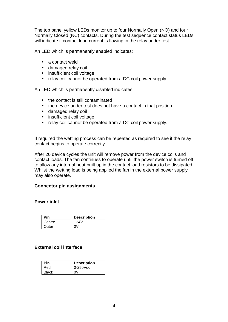The top panel yellow LEDs monitor up to four Normally Open (NO) and four Normally Closed (NC) contacts. During the test sequence contact status LEDs will indicate if contact load current is flowing in the relay under test.

An LED which is permanently enabled indicates:

- a contact weld
- damaged relay coil
- insufficient coil voltage
- relay coil cannot be operated from a DC coil power supply.

An LED which is permanently disabled indicates:

- the contact is still contaminated
- the device under test does not have a contact in that position
- damaged relay coil
- insufficient coil voltage
- relay coil cannot be operated from a DC coil power supply.

If required the wetting process can be repeated as required to see if the relay contact begins to operate correctly.

After 20 device cycles the unit will remove power from the device coils and contact loads. The fan continues to operate until the power switch is turned off to allow any internal heat built up in the contact load resistors to be dissipated. Whilst the wetting load is being applied the fan in the external power supply may also operate.

#### **Connector pin assignments**

#### **Power inlet**

| <b>Pin</b> | <b>Description</b> |
|------------|--------------------|
| Centre     | $+24V$             |
| Outer      | n۷                 |

#### **External coil interface**

| <b>Pin</b>   | <b>Description</b> |
|--------------|--------------------|
| Red          | 0-250Vdc           |
| <b>Black</b> | ווח                |